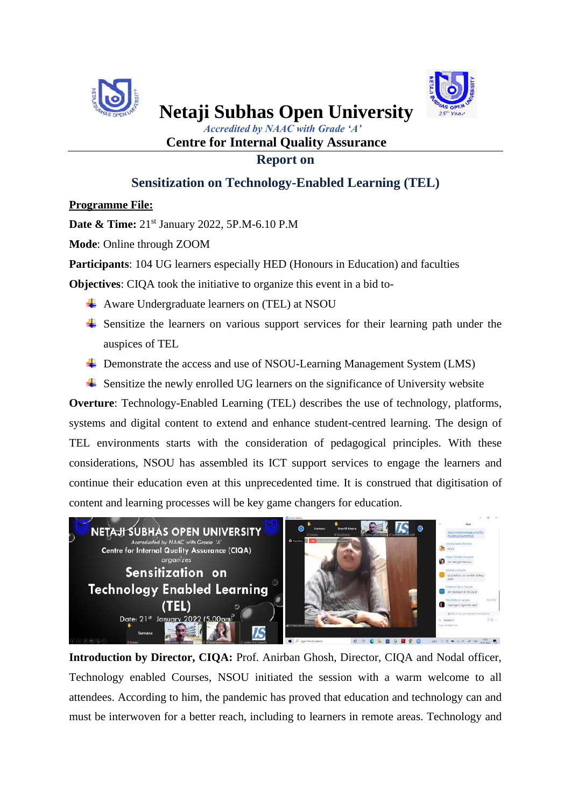

# **Netaji Subhas Open University**



 *Accredited by NAAC with Grade 'A'*

## **Centre for Internal Quality Assurance**

# **Report on**

# **Sensitization on Technology-Enabled Learning (TEL)**

## **Programme File:**

**Date & Time:**  $21^{st}$  January 2022, 5P.M-6.10 P.M

**Mode**: Online through ZOOM

**Participants**: 104 UG learners especially HED (Honours in Education) and faculties

**Objectives**: CIQA took the initiative to organize this event in a bid to-

- Aware Undergraduate learners on (TEL) at NSOU
- $\overline{\phantom{a}}$  Sensitize the learners on various support services for their learning path under the auspices of TEL
- $\overline{\phantom{a}}$  Demonstrate the access and use of NSOU-Learning Management System (LMS)
- $\overline{\phantom{a}}$  Sensitize the newly enrolled UG learners on the significance of University website

**Overture**: Technology-Enabled Learning (TEL) describes the use of technology, platforms, systems and digital content to extend and enhance student-centred learning. The design of TEL environments starts with the consideration of pedagogical principles. With these considerations, NSOU has assembled its ICT support services to engage the learners and continue their education even at this unprecedented time. It is construed that digitisation of content and learning processes will be key game changers for education.



Introduction by Director, CIQA: Prof. Anirban Ghosh, Director, CIQA and Nodal officer, Technology enabled Courses, NSOU initiated the session with a warm welcome to all attendees. According to him, the pandemic has proved that education and technology can and must be interwoven for a better reach, including to learners in remote areas. Technology and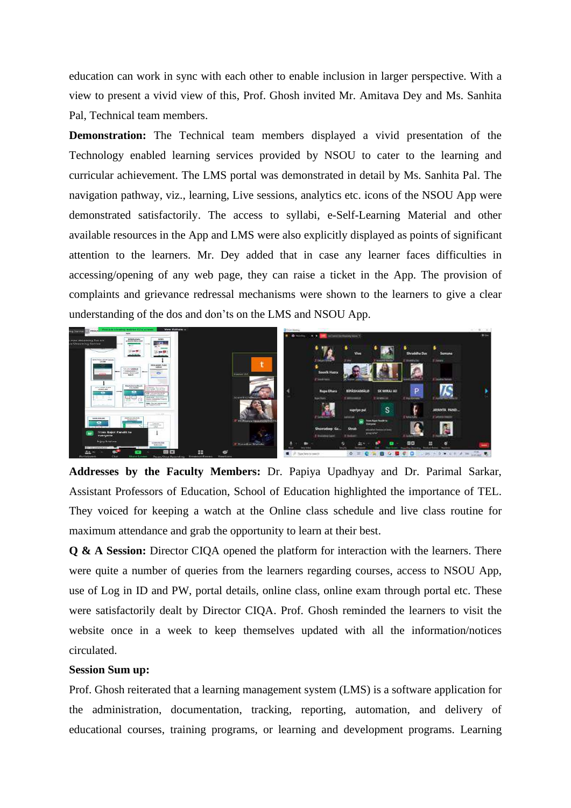education can work in sync with each other to enable inclusion in larger perspective. With a view to present a vivid view of this, Prof. Ghosh invited Mr. Amitava Dey and Ms. Sanhita Pal, Technical team members.

**Demonstration:** The Technical team members displayed a vivid presentation of the Technology enabled learning services provided by NSOU to cater to the learning and curricular achievement. The LMS portal was demonstrated in detail by Ms. Sanhita Pal. The navigation pathway, viz., learning, Live sessions, analytics etc. icons of the NSOU App were demonstrated satisfactorily. The access to syllabi, e-Self-Learning Material and other available resources in the App and LMS were also explicitly displayed as points of significant attention to the learners. Mr. Dey added that in case any learner faces difficulties in accessing/opening of any web page, they can raise a ticket in the App. The provision of complaints and grievance redressal mechanisms were shown to the learners to give a clear understanding of the dos and don'ts on the LMS and NSOU App.



**Addresses by the Faculty Members:** Dr. Papiya Upadhyay and Dr. Parimal Sarkar, Assistant Professors of Education, School of Education highlighted the importance of TEL. They voiced for keeping a watch at the Online class schedule and live class routine for maximum attendance and grab the opportunity to learn at their best.

**Q & A Session:** Director CIQA opened the platform for interaction with the learners. There were quite a number of queries from the learners regarding courses, access to NSOU App, use of Log in ID and PW, portal details, online class, online exam through portal etc. These were satisfactorily dealt by Director CIQA. Prof. Ghosh reminded the learners to visit the website once in a week to keep themselves updated with all the information/notices circulated.

#### **Session Sum up:**

Prof. Ghosh reiterated that a learning management system (LMS) is a software application for the administration, documentation, tracking, reporting, automation, and delivery of educational courses, training programs, or learning and development programs. Learning